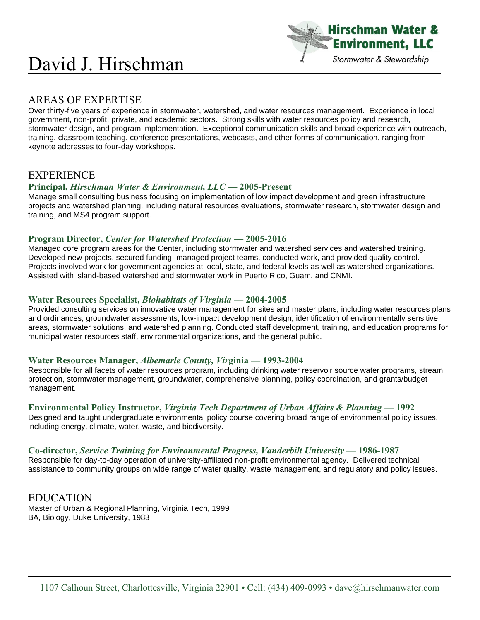# David J. Hirschman



# AREAS OF EXPERTISE

Over thirty-five years of experience in stormwater, watershed, and water resources management. Experience in local government, non-profit, private, and academic sectors. Strong skills with water resources policy and research, stormwater design, and program implementation. Exceptional communication skills and broad experience with outreach, training, classroom teaching, conference presentations, webcasts, and other forms of communication, ranging from keynote addresses to four-day workshops.

# EXPERIENCE

### **Principal,** *Hirschman Water & Environment, LLC* **— 2005-Present**

Manage small consulting business focusing on implementation of low impact development and green infrastructure projects and watershed planning, including natural resources evaluations, stormwater research, stormwater design and training, and MS4 program support.

### **Program Director,** *Center for Watershed Protection* **— 2005-2016**

Managed core program areas for the Center, including stormwater and watershed services and watershed training. Developed new projects, secured funding, managed project teams, conducted work, and provided quality control. Projects involved work for government agencies at local, state, and federal levels as well as watershed organizations. Assisted with island-based watershed and stormwater work in Puerto Rico, Guam, and CNMI.

### **Water Resources Specialist,** *Biohabitats of Virginia* **— 2004-2005**

Provided consulting services on innovative water management for sites and master plans, including water resources plans and ordinances, groundwater assessments, low-impact development design, identification of environmentally sensitive areas, stormwater solutions, and watershed planning. Conducted staff development, training, and education programs for municipal water resources staff, environmental organizations, and the general public.

#### **Water Resources Manager,** *Albemarle County, Vir***ginia — 1993-2004**

Responsible for all facets of water resources program, including drinking water reservoir source water programs, stream protection, stormwater management, groundwater, comprehensive planning, policy coordination, and grants/budget management.

### **Environmental Policy Instructor,** *Virginia Tech Department of Urban Affairs & Planning* **— 1992**

Designed and taught undergraduate environmental policy course covering broad range of environmental policy issues, including energy, climate, water, waste, and biodiversity.

#### **Co-director,** *Service Training for Environmental Progress, Vanderbilt University* **— 1986-1987**

Responsible for day-to-day operation of university-affiliated non-profit environmental agency. Delivered technical assistance to community groups on wide range of water quality, waste management, and regulatory and policy issues.

EDUCATION Master of Urban & Regional Planning, Virginia Tech, 1999 BA, Biology, Duke University, 1983